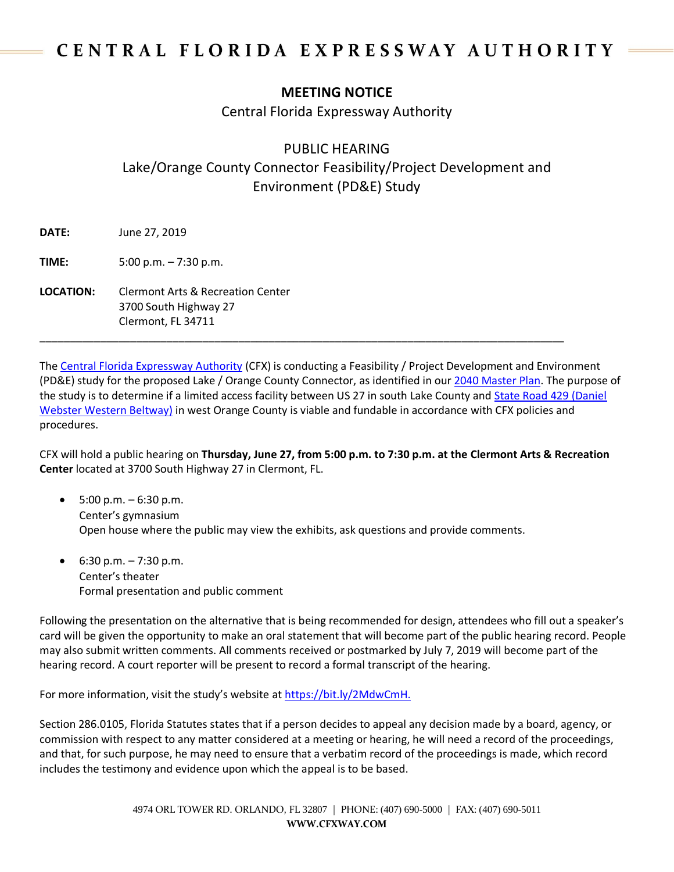## CENTRAL FLORIDA EXPRESSWAY AUTHORITY

## **MEETING NOTICE**

Central Florida Expressway Authority

## PUBLIC HEARING

Lake/Orange County Connector Feasibility/Project Development and Environment (PD&E) Study

**DATE:** June 27, 2019

**TIME:** 5:00 p.m. – 7:30 p.m.

**LOCATION:** Clermont Arts & Recreation Center 3700 South Highway 27 Clermont, FL 34711

The [Central Florida Expressway Authority](https://www.cfxway.com/) (CFX) is conducting a Feasibility / Project Development and Environment (PD&E) study for the proposed Lake / Orange County Connector, as identified in ou[r 2040 Master Plan.](https://www.cfxway.com/agency-information/plans-studies/master-plan/) The purpose of the study is to determine if a limited access facility between US 27 in south Lake County and [State Road 429 \(Daniel](https://www.cfxway.com/for-travelers/expressways/429/)  [Webster Western Beltway\)](https://www.cfxway.com/for-travelers/expressways/429/) in west Orange County is viable and fundable in accordance with CFX policies and procedures.

\_\_\_\_\_\_\_\_\_\_\_\_\_\_\_\_\_\_\_\_\_\_\_\_\_\_\_\_\_\_\_\_\_\_\_\_\_\_\_\_\_\_\_\_\_\_\_\_\_\_\_\_\_\_\_\_\_\_\_\_\_\_\_\_\_\_\_\_\_\_\_\_\_\_\_\_\_\_\_\_\_\_\_\_\_\_\_

CFX will hold a public hearing on **Thursday, June 27, from 5:00 p.m. to 7:30 p.m. at the Clermont Arts & Recreation Center** located at 3700 South Highway 27 in Clermont, FL.

- $5:00 \text{ p.m.} 6:30 \text{ p.m.}$ Center's gymnasium Open house where the public may view the exhibits, ask questions and provide comments.
- $6:30 \text{ p.m.} 7:30 \text{ p.m.}$ Center's theater Formal presentation and public comment

Following the presentation on the alternative that is being recommended for design, attendees who fill out a speaker's card will be given the opportunity to make an oral statement that will become part of the public hearing record. People may also submit written comments. All comments received or postmarked by July 7, 2019 will become part of the hearing record. A court reporter will be present to record a formal transcript of the hearing.

For more information, visit the study's website at [https://bit.ly/2MdwCmH.](https://bit.ly/2MdwCmH)

Section 286.0105, Florida Statutes states that if a person decides to appeal any decision made by a board, agency, or commission with respect to any matter considered at a meeting or hearing, he will need a record of the proceedings, and that, for such purpose, he may need to ensure that a verbatim record of the proceedings is made, which record includes the testimony and evidence upon which the appeal is to be based.

> 4974 ORL TOWER RD. ORLANDO, FL 32807 | PHONE: (407) 690-5000 | FAX: (407) 690-5011 **WWW.CFXWAY.COM**